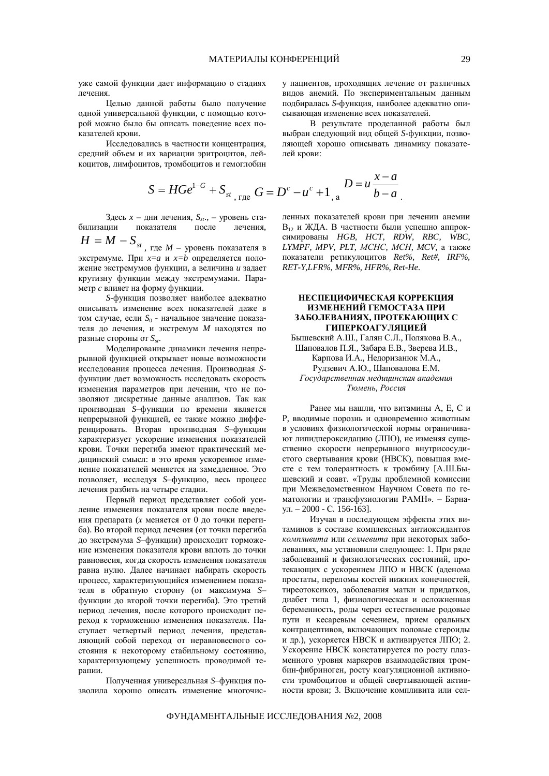уже самой функции дает информацию о стадиях πeueния

Целью данной работы было получение одной универсальной функции, с помощью которой можно было бы описать поведение всех показателей крови.

Исследовались в частности концентрация, средний объем и их вариации эритроцитов, лейкоцитов, лимфоцитов, тромбоцитов и гемоглобин

$$
S = HGe^{1-G} + S_{st} \Big|_{r, \text{rate}} G = D^c - u^c + 1 \Big|_{r, a} D = u \frac{x - a}{b - a}
$$

Здесь *x* – дни лечения,  $S_{st}$ ., – урс<br>билизации показателя после показателя после

 $H = M - S_{st}$ <sub>, где</sub> *M* – уровень показателя в  $\overline{\text{skc}}$ тремуме. При  $x=a$  и  $x=b$  определяется положение экстремумов функции, а величина и задает крутизну функции между экстремумами. Параметр *с* влияет на форму функции.

*S*-функция позволяет наиболее адекватно описывать изменение всех показателей лаже в том случае, если S<sub>0</sub> - начальное значение показателя до лечения, и экстремум *M* находятся по разные стороны от  $S_{st}$ .

Моделирование динамики лечения непрерывной функцией открывает новые возможности исследования процесса лечения. Производная Sфункции дает возможность исследовать скорость изменения параметров при лечении, что не позволяют дискретные данные анализов. Так как производная S-функции по времени является непрерывной функцией, ее также можно дифференцировать. Вторая производная S-функции характеризует ускорение изменения показателей крови. Точки перегиба имеют практический медицинский смысл: в это время ускоренное изменение показателей меняется на замедленное. Это позволяет, исследуя *S*-функцию, весь процесс лечения разбить на четыре стадии.

Первый период представляет собой усиление изменения показателя крови после введения препарата (*x* меняется от 0 до точки перегиба). Во второй период лечения (от точки перегиба до экстремума S-функции) происходит торможение изменения показателя крови вплоть до точки равновесия, когда скорость изменения показателя і равна нулю. Далее начинает набирать скорость процесс, характеризующийся изменением показателя в обратную сторону (от максимума Sфункции до второй точки перегиба). Это третий период лечения, после которого происходит переход к торможению изменения показателя. Наступает четвертый период лечения, представляющий собой переход от неравновесного состояния к некоторому стабильному состоянию, характеризующему успешность проводимой терапии.

Полученная универсальная S-функция позволила хорошо описать изменение многочису пациентов, проходящих лечение от различных видов анемий. По экспериментальным данным подбиралась *S*-функция, наиболее адекватно описывающая изменение всех показателей.

В результате проделанной работы был выбран следующий вид общей S-функции, позволяющей хорошо описывать динамику показателей крови:

. ɥɟɧɧɵɯ ɩɨɤɚɡɚɬɟɥɟɣ ɤɪɨɜɢ ɩɪɢ ɥɟɱɟɧɢɢ ɚɧɟɦɢɢ

 $\overline{a}$ симированы *HGB*, *HCT*, *RDW*, *RBC*, *WBC*, *LYMPF*, *MPV*, *PLT*, *MCHC*, *MCH*, *MCV*, а также показатели ретикулоцитов Ret%, Ret#, IRF%, *RET-Y,LFR%, MFR%, HFR%, Ret-He.*

## НЕСПЕЦИФИЧЕСКАЯ КОРРЕКЦИЯ ИЗМЕНЕНИЙ ГЕМОСТАЗА ПРИ ЗАБОЛЕВАНИЯХ, ПРОТЕКАЮЩИХ С ГИПЕРКОАГУЛЯЦИЕЙ

Бышевский А.Ш., Галян С.Л., Полякова В.А., Шаповалов П.Я., Забара Е.В., Зверева И.В., Карпова И.А., Недоризанюк М.А., Рудзевич А.Ю., Шаповалова Е.М.  $I$ осударственная медицинская академия  $T$ юмень, Россия

Ранее мы нашли, что витамины А, Е, С и Р, вводимые порознь и одновременно животным в условиях физиологической нормы ограничивают липидпероксидацию (ЛПО), не изменяя существенно скорости непрерывного внутрисосудистого свертывания крови (НВСК), повышая вместе с тем толерантность к тромбину [А.Ш.Бышевский и соавт. «Труды проблемной комиссии при Межведомственном Научном Совета по гематологии и трансфузиологии РАМН». – Барнаул. – 2000 - С. 156-163].

Изучая в последующем эффекты этих витаминов в составе комплексных антиоксидантов *компливита или селмевита* при некоторых заболеваниях, мы установили следующее: 1. При ряде заболеваний и физиологических состояний, протекающих с ускорением ЛПО и НВСК (аденома простаты, переломы костей нижних конечностей, тиреотоксикоз, заболевания матки и придатков, диабет типа 1, физиологическая и осложненная беременность, роды через естественные родовые пути и кесаревым сечением, прием оральных контрацептивов, включающих половые стероиды и др.), ускоряется НВСК и активируется ЛПО; 2. Ускорение НВСК констатируется по росту плазменного уровня маркеров взаимодействия тромбин-фибриноген, росту коагуляционной активности тромбоцитов и общей свертывающей активности крови; 3. Включение компливита или сел-